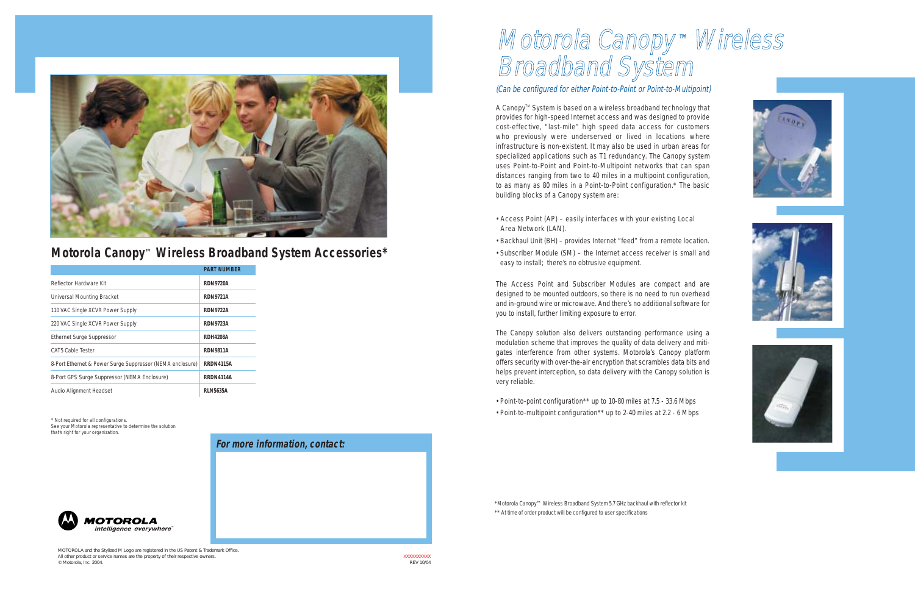## Motorola Canopy ™ Wireless Broadband System

(Can be configured for either Point-to-Point or Point-to-Multipoint)

A Canopy<sup>™</sup> System is based on a wireless broadband technology that provides for high-speed Internet access and was designed to provide cost-effective, "last-mile" high speed data access for customers who previously were underserved or lived in locations where infrastructure is non-existent. It may also be used in urban areas for specialized applications such as T1 redundancy. The Canopy system uses Point-to-Point and Point-to-Multipoint networks that can span distances ranging from two to 40 miles in a multipoint configuration, to as many as 80 miles in a Point-to-Point configuration.\* The basic building blocks of a Canopy system are:

- Access Point (AP) easily interfaces with your existing Local Area Network (LAN).
- Backhaul Unit (BH) provides Internet "feed" from a remote location.
- Subscriber Module (SM) the Internet access receiver is small and easy to install; there's no obtrusive equipment.

The Access Point and Subscriber Modules are compact and are designed to be mounted outdoors, so there is no need to run overhead and in-ground wire or microwave. And there's no additional software for you to install, further limiting exposure to error.

The Canopy solution also delivers outstanding performance using a modulation scheme that improves the quality of data delivery and mitigates interference from other systems. Motorola's Canopy platform offers security with over-the-air encryption that scrambles data bits and helps prevent interception, so data delivery with the Canopy solution is very reliable.

- Point-to-point configuration\*\* up to 10-80 miles at 7.5 33.6 Mbps
- Point-to-multipoint configuration\*\* up to 2-40 miles at 2.2 6 Mbps







\*Motorola Canopy™ Wireless Broadband System 5.7 GHz backhaul with reflector kit

\*\* At time of order product will be configured to user specifications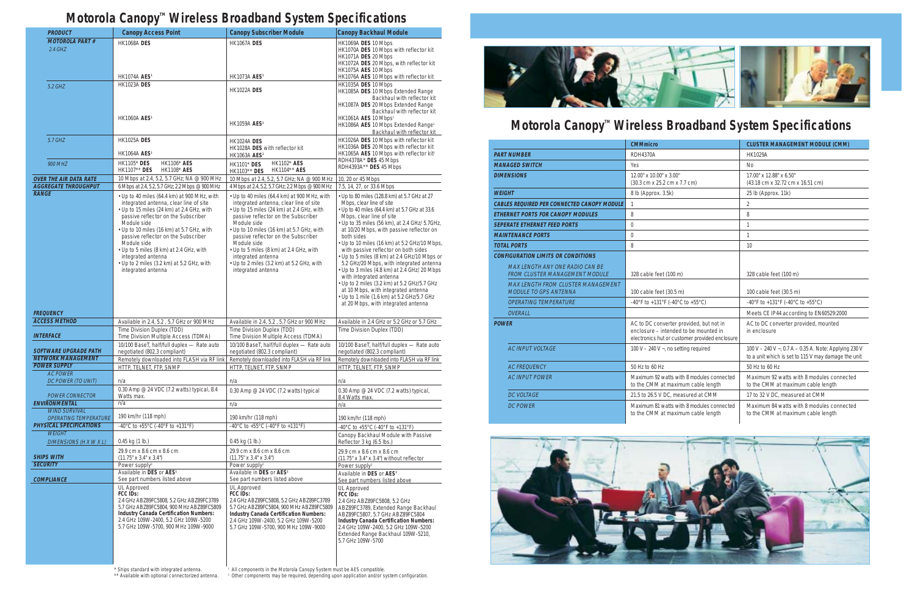## Motorola Canopy<sup>™</sup> Wireless Broadband System Specifications

|              | <b>PRODUCT</b>                                            | <b>Canopy Access Point</b>                                                                                                                                                                                                                                                                                                                                                                                                      | <b>Canopy Subscriber Module</b>                                                                                                                                                                                                                                                                                                                                                                                                 | <b>Canopy Backhaul Module</b>                                                                                                                                                                                                                                                                                                                                                                                                                                                                                                                                                                                                                                                                              |
|--------------|-----------------------------------------------------------|---------------------------------------------------------------------------------------------------------------------------------------------------------------------------------------------------------------------------------------------------------------------------------------------------------------------------------------------------------------------------------------------------------------------------------|---------------------------------------------------------------------------------------------------------------------------------------------------------------------------------------------------------------------------------------------------------------------------------------------------------------------------------------------------------------------------------------------------------------------------------|------------------------------------------------------------------------------------------------------------------------------------------------------------------------------------------------------------------------------------------------------------------------------------------------------------------------------------------------------------------------------------------------------------------------------------------------------------------------------------------------------------------------------------------------------------------------------------------------------------------------------------------------------------------------------------------------------------|
|              | <b>MOTOROLA PART#</b><br>$2.4$ GHZ                        | <b>HK1068A DES</b><br><b>HK1074A AES<sup>1</sup></b>                                                                                                                                                                                                                                                                                                                                                                            | <b>HK1067A DES</b><br><b>HK1073A AES<sup>1</sup></b>                                                                                                                                                                                                                                                                                                                                                                            | HK1069A DES 10 Mbps<br>HK1070A DES 10 Mbps with reflector kit<br>HK1071A DES 20 Mbps<br>HK1072A DES 20 Mbps, with reflector kit<br>HK1075A AES 10 Mbps<br>HK1076A AES 10 Mbps with reflector kit                                                                                                                                                                                                                                                                                                                                                                                                                                                                                                           |
|              | 5.2 GHZ                                                   | <b>HK1023A DES</b>                                                                                                                                                                                                                                                                                                                                                                                                              | <b>HK1022A DES</b>                                                                                                                                                                                                                                                                                                                                                                                                              | HK1035A DES 10 Mbps<br>HK1085A DES 10 Mbps Extended Range<br>Backhaul with reflector kit<br>HK1087A DES 20 Mbps Extended Range<br>Backhaul with reflector kit                                                                                                                                                                                                                                                                                                                                                                                                                                                                                                                                              |
|              |                                                           | <b>HK1060A AES<sup>1</sup></b>                                                                                                                                                                                                                                                                                                                                                                                                  | <b>HK1059A AES<sup>1</sup></b>                                                                                                                                                                                                                                                                                                                                                                                                  | HK1061A AES 10 Mbps <sup>1</sup><br>HK1086A AES 10 Mbps Extended Range <sup>1</sup><br>Backhaul with reflector kit                                                                                                                                                                                                                                                                                                                                                                                                                                                                                                                                                                                         |
|              | 5.7 GHZ                                                   | <b>HK1025A DES</b><br><b>HK1064A AES<sup>1</sup></b>                                                                                                                                                                                                                                                                                                                                                                            | <b>HK1024A DES</b><br>HK1028A DES with reflector kit<br><b>HK1063A AES<sup>1</sup></b>                                                                                                                                                                                                                                                                                                                                          | HK1026A DES 10 Mbps with reflector kit<br>HK1036A DES 20 Mbps with reflector kit<br>HK1065A AES 10 Mbps with reflector kit1                                                                                                                                                                                                                                                                                                                                                                                                                                                                                                                                                                                |
|              | <b>900 MHZ</b>                                            | <b>HK1105*</b> DES<br><b>HK1106* AES</b><br>HK1107** DES<br><b>HK1108* AES</b>                                                                                                                                                                                                                                                                                                                                                  | HK1102* AES<br><b>HK1101* DES</b><br>HK1104** AES<br>HK1103** DES                                                                                                                                                                                                                                                                                                                                                               | RDH4378A* DES 45 Mbps<br>RDH4393A** DES 45 Mbps                                                                                                                                                                                                                                                                                                                                                                                                                                                                                                                                                                                                                                                            |
|              | <b>OVER THE AIR DATA RATE</b>                             | 10 Mbps at 2.4, 5.2, 5.7 GHz; NA @ 900 MHz                                                                                                                                                                                                                                                                                                                                                                                      | 10 Mbps at 2.4, 5.2, 5.7 GHz; NA @ 900 MHz                                                                                                                                                                                                                                                                                                                                                                                      | 10, 20 or 45 Mbps                                                                                                                                                                                                                                                                                                                                                                                                                                                                                                                                                                                                                                                                                          |
| <b>RANGE</b> | <b>AGGREGATE THROUGHPUT</b>                               | 6 Mbps at 2.4, 5.2, 5.7 GHz; 2.2 Mbps @ 900 MHz                                                                                                                                                                                                                                                                                                                                                                                 | 4 Mbps at 2.4, 5.2, 5.7 GHz; 2.2 Mbps @ 900 MHz                                                                                                                                                                                                                                                                                                                                                                                 | 7.5, 14, 27, or 33.6 Mbps                                                                                                                                                                                                                                                                                                                                                                                                                                                                                                                                                                                                                                                                                  |
|              |                                                           | • Up to 40 miles (64.4 km) at 900 MHz, with<br>integrated antenna, clear line of site<br>• Up to 15 miles (24 km) at 2.4 GHz, with<br>passive reflector on the Subscriber<br>Module side<br>• Up to 10 miles (16 km) at 5.7 GHz, with<br>passive reflector on the Subscriber<br>Module side<br>• Up to 5 miles (8 km) at 2.4 GHz, with<br>integrated antenna<br>• Up to 2 miles (3.2 km) at 5.2 GHz, with<br>integrated antenna | • Up to 40 miles (64.4 km) at 900 MHz, with<br>integrated antenna, clear line of site<br>• Up to 15 miles (24 km) at 2.4 GHz, with<br>passive reflector on the Subscriber<br>Module side<br>• Up to 10 miles (16 km) at 5.7 GHz, with<br>passive reflector on the Subscriber<br>Module side<br>• Up to 5 miles (8 km) at 2.4 GHz, with<br>integrated antenna<br>• Up to 2 miles (3.2 km) at 5.2 GHz, with<br>integrated antenna | • Up to 80 miles (128.8 km) at 5.7 GHz at 27<br>Mbps, clear line of site<br>• Up to 40 miles (64.4 km) at 5.7 GHz at 33.6<br>Mbps, clear line of site<br>• Up to 35 miles (56 km), at 2.4 GHz/ 5.7GHz,<br>at 10/20 Mbps, with passive reflector on<br>both sides<br>• Up to 10 miles (16 km) at 5.2 GHz/10 Mbps,<br>with passive reflector on both sides<br>• Up to 5 miles (8 km) at 2.4 GHz/10 Mbps or<br>5.2 GHz/20 Mbps, with integrated antenna<br>• Up to 3 miles (4.8 km) at 2.4 GHz/ 20 Mbps<br>with integrated antenna<br>• Up to 2 miles (3.2 km) at 5.2 GHz/5.7 GHz<br>at 10 Mbps, with integrated antenna<br>• Up to 1 mile (1.6 km) at 5.2 GHz/5.7 GHz<br>at 20 Mbps, with integrated antenna |
|              | <b>FREQUENCY</b>                                          |                                                                                                                                                                                                                                                                                                                                                                                                                                 |                                                                                                                                                                                                                                                                                                                                                                                                                                 |                                                                                                                                                                                                                                                                                                                                                                                                                                                                                                                                                                                                                                                                                                            |
|              | <b>ACCESS METHOD</b>                                      | Available in 2.4, 5.2, 5.7 GHz or 900 MHz                                                                                                                                                                                                                                                                                                                                                                                       | Available in 2.4, 5.2, 5.7 GHz or 900 MHz                                                                                                                                                                                                                                                                                                                                                                                       | Available in 2.4 GHz or 5.2 GHz or 5.7 GHz                                                                                                                                                                                                                                                                                                                                                                                                                                                                                                                                                                                                                                                                 |
|              | <b>INTERFACE</b>                                          | Time Division Duplex (TDD)<br>Time Division Multiple Access (TDMA)                                                                                                                                                                                                                                                                                                                                                              | Time Division Duplex (TDD)<br>Time Division Multiple Access (TDMA)                                                                                                                                                                                                                                                                                                                                                              | Time Division Duplex (TDD)                                                                                                                                                                                                                                                                                                                                                                                                                                                                                                                                                                                                                                                                                 |
|              | <b>SOFTWARE UPGRADE PATH</b><br><b>NETWORK MANAGEMENT</b> | 10/100 BaseT, half/full duplex - Rate auto<br>negotiated (802.3 compliant)                                                                                                                                                                                                                                                                                                                                                      | 10/100 BaseT, half/full duplex - Rate auto<br>negotiated (802.3 compliant)                                                                                                                                                                                                                                                                                                                                                      | 10/100 BaseT, half/full duplex - Rate auto<br>negotiated (802.3 compliant)                                                                                                                                                                                                                                                                                                                                                                                                                                                                                                                                                                                                                                 |
|              | POWER SUPPLY                                              | Remotely downloaded into FLASH via RF link<br>HTTP, TELNET, FTP, SNMP                                                                                                                                                                                                                                                                                                                                                           | Remotely downloaded into FLASH via RF link<br>HTTP, TELNET, FTP, SNMP                                                                                                                                                                                                                                                                                                                                                           | Remotely downloaded into FLASH via RF link<br>HTTP, TELNET, FTP, SNMP                                                                                                                                                                                                                                                                                                                                                                                                                                                                                                                                                                                                                                      |
|              | <b>AC POWER</b><br>DC POWER (TO UNIT)                     | n/a                                                                                                                                                                                                                                                                                                                                                                                                                             | n/a                                                                                                                                                                                                                                                                                                                                                                                                                             | n/a                                                                                                                                                                                                                                                                                                                                                                                                                                                                                                                                                                                                                                                                                                        |
|              | <b>POWER CONNECTOR</b>                                    | 0.30 Amp @ 24 VDC (7.2 watts) typical, 8.4<br>Watts max.                                                                                                                                                                                                                                                                                                                                                                        | 0.30 Amp @ 24 VDC (7.2 watts) typical                                                                                                                                                                                                                                                                                                                                                                                           | 0.30 Amp $@$ 24 VDC (7.2 watts) typical,<br>8.4 Watts max.                                                                                                                                                                                                                                                                                                                                                                                                                                                                                                                                                                                                                                                 |
|              | <b>ENVIRONMENTAL</b>                                      | n/a                                                                                                                                                                                                                                                                                                                                                                                                                             | n/a                                                                                                                                                                                                                                                                                                                                                                                                                             | n/a                                                                                                                                                                                                                                                                                                                                                                                                                                                                                                                                                                                                                                                                                                        |
|              | <b>WIND SURVIVAL</b><br><b>OPERATING TEMPERATURE</b>      | 190 km/hr (118 mph)                                                                                                                                                                                                                                                                                                                                                                                                             | 190 km/hr (118 mph)                                                                                                                                                                                                                                                                                                                                                                                                             | 190 km/hr (118 mph)                                                                                                                                                                                                                                                                                                                                                                                                                                                                                                                                                                                                                                                                                        |
|              | <b>PHYSICAL SPECIFICATIONS</b>                            | -40°C to +55°C (-40°F to +131°F)                                                                                                                                                                                                                                                                                                                                                                                                | -40°C to +55°C (-40°F to +131°F)                                                                                                                                                                                                                                                                                                                                                                                                | -40°C to +55°C (-40°F to +131°F)                                                                                                                                                                                                                                                                                                                                                                                                                                                                                                                                                                                                                                                                           |
|              | <b>WEIGHT</b><br>DIMENSIONS (H X W X L)                   | 0.45 kg (1 lb.)                                                                                                                                                                                                                                                                                                                                                                                                                 | 0.45 kg (1 lb.)                                                                                                                                                                                                                                                                                                                                                                                                                 | Canopy Backhaul Module with Passive<br>Reflector 3 kg (6.5 lbs.)                                                                                                                                                                                                                                                                                                                                                                                                                                                                                                                                                                                                                                           |
|              | <b>SHIPS WITH</b>                                         | 29.9 cm x 8.6 cm x 8.6 cm                                                                                                                                                                                                                                                                                                                                                                                                       | 29.9 cm x 8.6 cm x 8.6 cm                                                                                                                                                                                                                                                                                                                                                                                                       | 29.9 cm x 8.6 cm x 8.6 cm                                                                                                                                                                                                                                                                                                                                                                                                                                                                                                                                                                                                                                                                                  |
|              | <b>SECURITY</b>                                           | $(11.75" \times 3.4" \times 3.4")$<br>Power supply <sup>2</sup>                                                                                                                                                                                                                                                                                                                                                                 | $(11.75" \times 3.4" \times 3.4")$<br>Power supply <sup>2</sup>                                                                                                                                                                                                                                                                                                                                                                 | (11.75" x 3.4" x 3.4") without reflector<br>Power supply <sup>2</sup>                                                                                                                                                                                                                                                                                                                                                                                                                                                                                                                                                                                                                                      |
|              |                                                           | Available in DES or AES <sup>1</sup>                                                                                                                                                                                                                                                                                                                                                                                            | Available in DES or AES <sup>1</sup>                                                                                                                                                                                                                                                                                                                                                                                            | Available in DES or AES <sup>1</sup>                                                                                                                                                                                                                                                                                                                                                                                                                                                                                                                                                                                                                                                                       |
|              | <b>COMPLIANCE</b>                                         | See part numbers listed above<br><b>UL Approved</b><br>FCC IDs:<br>2.4 GHz ABZ89FC5808, 5.2 GHz ABZ89FC3789<br>5.7 GHz ABZ89FC5804, 900 MHz ABZ89FC5809<br><b>Industry Canada Certification Numbers:</b><br>2.4 GHz 109W-2400, 5.2 GHz 109W-5200<br>5.7 GHz 109W-5700, 900 MHz 109W-9000                                                                                                                                        | See part numbers listed above<br><b>UL Approved</b><br>FCC IDs:<br>2.4 GHz ABZ89FC5808, 5.2 GHz ABZ89FC3789<br>5.7 GHz ABZ89FC5804, 900 MHz ABZ89FC5809<br><b>Industry Canada Certification Numbers:</b><br>2.4 GHz 109W-2400, 5.2 GHz 109W-5200<br>5.7 GHz 109W-5700, 900 MHz 109W-9000                                                                                                                                        | See part numbers listed above<br><b>UL Approved</b><br>FCC IDs:<br>2.4 GHz ABZ89FC5808, 5.2 GHz<br>ABZ89FC3789, Extended Range Backhaul<br>ABZ89FC5807, 5.7 GHz ABZ89FC5804<br><b>Industry Canada Certification Numbers:</b><br>2.4 GHz 109W-2400, 5.2 GHz 109W-5200<br>Extended Range Backhaul 109W-5210,<br>5.7 GHz 109W-5700                                                                                                                                                                                                                                                                                                                                                                            |
|              |                                                           |                                                                                                                                                                                                                                                                                                                                                                                                                                 |                                                                                                                                                                                                                                                                                                                                                                                                                                 |                                                                                                                                                                                                                                                                                                                                                                                                                                                                                                                                                                                                                                                                                                            |

\* Ships standard with integrated antenna. \*\* Available with optional connectorized antenna. <sup>1</sup> All components in the Motorola Canopy System must be AES compatible. <sup>2</sup> Other components may be required, depending upon application and/or system configuration.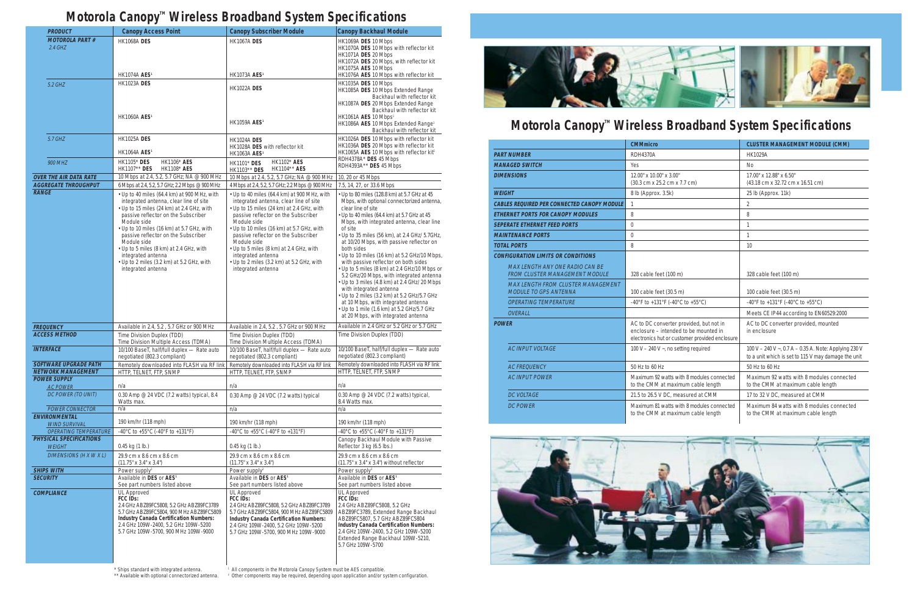

## Motorola Canopy<sup>™</sup> Wireless Broadband System Specifications

|                                                                                 | <b>CMMmicro</b>                                                                                                                    | <b>CLUSTER MANAGEMENT MODULE (CMM)</b>                                                                       |
|---------------------------------------------------------------------------------|------------------------------------------------------------------------------------------------------------------------------------|--------------------------------------------------------------------------------------------------------------|
| <b>PART NUMBER</b>                                                              | <b>RDH4370A</b>                                                                                                                    | <b>HK1029A</b>                                                                                               |
| <b>MANAGED SWITCH</b>                                                           | Yes                                                                                                                                | <b>No</b>                                                                                                    |
| <b>DIMENSIONS</b>                                                               | 12.00" x 10.00" x 3.00"<br>(30.3 cm x 25.2 cm x 7.7 cm)                                                                            | 17.00" x 12.88" x 6.50"<br>(43.18 cm x 32.72 cm x 16.51 cm)                                                  |
| <b>WEIGHT</b>                                                                   | 8 lb (Approx. 3.5k)                                                                                                                | 25 lb (Approx. 11k)                                                                                          |
| <b>CABLES REQUIRED PER CONNECTED CANOPY MODULE</b>                              |                                                                                                                                    | $\overline{2}$                                                                                               |
| <b>ETHERNET PORTS FOR CANOPY MODULES</b>                                        | 8                                                                                                                                  | 8                                                                                                            |
| <b>SEPERATE ETHERNET FEED PORTS</b>                                             | $\theta$                                                                                                                           | $\mathbf{1}$                                                                                                 |
| <b>MAINTENANCE PORTS</b>                                                        | $\theta$                                                                                                                           | $\mathbf{1}$                                                                                                 |
| <b>TOTAL PORTS</b>                                                              | 8                                                                                                                                  | 10                                                                                                           |
| <b>CONFIGURATION LIMITS OR CONDITIONS</b>                                       |                                                                                                                                    |                                                                                                              |
| <b>MAX LENGTH ANY ONE RADIO CAN BE</b><br><b>FROM CLUSTER MANAGEMENT MODULE</b> | 328 cable feet (100 m)                                                                                                             | 328 cable feet (100 m)                                                                                       |
| <b>MAX LENGTH FROM CLUSTER MANAGEMENT</b><br><b>MODULE TO GPS ANTENNA</b>       | 100 cable feet (30.5 m)                                                                                                            | 100 cable feet (30.5 m)                                                                                      |
| <b>OPERATING TEMPERATURE</b>                                                    | -40°F to +131°F (-40°C to +55°C)                                                                                                   | -40°F to +131°F (-40°C to +55°C)                                                                             |
| OVERALL                                                                         |                                                                                                                                    | Meets CE IP44 according to EN60529:2000                                                                      |
| <b>POWER</b>                                                                    | AC to DC converter provided, but not in<br>enclosure – intended to be mounted in<br>electronics hut or customer provided enclosure | AC to DC converter provided, mounted<br>in enclosure                                                         |
| <b>AC INPUT VOLTAGE</b>                                                         | 100 V – 240 V $\sim$ , no setting required                                                                                         | 100 V - 240 V ~, 0.7 A - 0.35 A. Note: Applying 230 V<br>to a unit which is set to 115 V may damage the unit |
| <b>AC FREOUENCY</b>                                                             | 50 Hz to 60 Hz                                                                                                                     | 50 Hz to 60 Hz                                                                                               |
| <b>AC INPUT POWER</b>                                                           | Maximum 92 watts with 8 modules connected<br>to the CMM at maximum cable length                                                    | Maximum 92 watts with 8 modules connected<br>to the CMM at maximum cable length                              |
| <b>DC VOLTAGE</b>                                                               | 21.5 to 26.5 V DC, measured at CMM                                                                                                 | 17 to 32 V DC, measured at CMM                                                                               |
| <b>DC POWER</b>                                                                 | Maximum 81 watts with 8 modules connected<br>to the CMM at maximum cable length                                                    | Maximum 84 watts with 8 modules connected<br>to the CMM at maximum cable length                              |